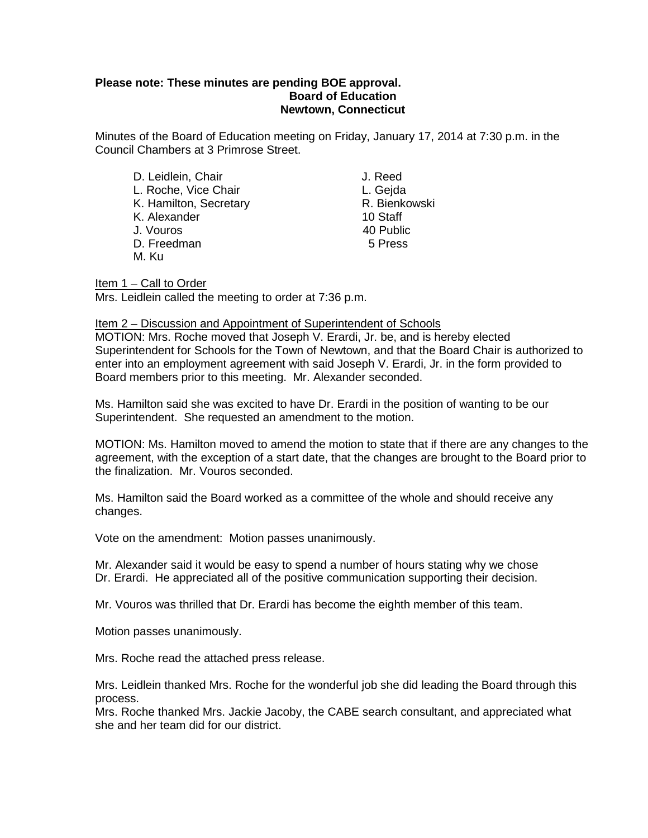## **Please note: These minutes are pending BOE approval. Board of Education Newtown, Connecticut**

Minutes of the Board of Education meeting on Friday, January 17, 2014 at 7:30 p.m. in the Council Chambers at 3 Primrose Street.

| D. Leidlein, Chair     | J. Reed       |
|------------------------|---------------|
| L. Roche, Vice Chair   | L. Gejda      |
| K. Hamilton, Secretary | R. Bienkowski |
| K. Alexander           | 10 Staff      |
| J. Vouros              | 40 Public     |
| D. Freedman            | 5 Press       |
| M. Ku                  |               |

Item 1 – Call to Order Mrs. Leidlein called the meeting to order at 7:36 p.m.

## Item 2 – Discussion and Appointment of Superintendent of Schools

MOTION: Mrs. Roche moved that Joseph V. Erardi, Jr. be, and is hereby elected Superintendent for Schools for the Town of Newtown, and that the Board Chair is authorized to enter into an employment agreement with said Joseph V. Erardi, Jr. in the form provided to Board members prior to this meeting. Mr. Alexander seconded.

Ms. Hamilton said she was excited to have Dr. Erardi in the position of wanting to be our Superintendent. She requested an amendment to the motion.

MOTION: Ms. Hamilton moved to amend the motion to state that if there are any changes to the agreement, with the exception of a start date, that the changes are brought to the Board prior to the finalization. Mr. Vouros seconded.

Ms. Hamilton said the Board worked as a committee of the whole and should receive any changes.

Vote on the amendment: Motion passes unanimously.

Mr. Alexander said it would be easy to spend a number of hours stating why we chose Dr. Erardi. He appreciated all of the positive communication supporting their decision.

Mr. Vouros was thrilled that Dr. Erardi has become the eighth member of this team.

Motion passes unanimously.

Mrs. Roche read the attached press release.

Mrs. Leidlein thanked Mrs. Roche for the wonderful job she did leading the Board through this process.

Mrs. Roche thanked Mrs. Jackie Jacoby, the CABE search consultant, and appreciated what she and her team did for our district.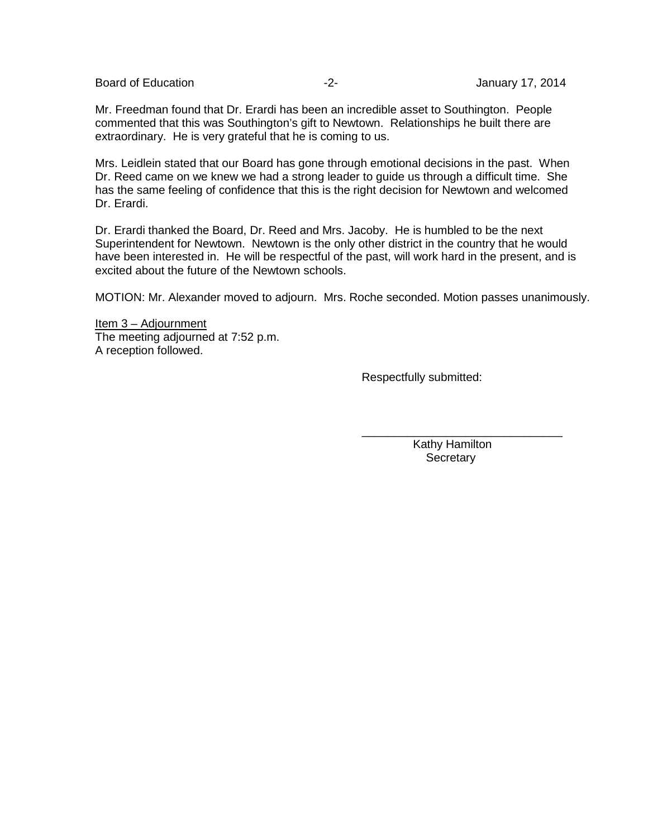Board of Education **-2-** Figure -2- January 17, 2014

Mr. Freedman found that Dr. Erardi has been an incredible asset to Southington. People commented that this was Southington's gift to Newtown. Relationships he built there are extraordinary. He is very grateful that he is coming to us.

Mrs. Leidlein stated that our Board has gone through emotional decisions in the past. When Dr. Reed came on we knew we had a strong leader to guide us through a difficult time. She has the same feeling of confidence that this is the right decision for Newtown and welcomed Dr. Erardi.

Dr. Erardi thanked the Board, Dr. Reed and Mrs. Jacoby. He is humbled to be the next Superintendent for Newtown. Newtown is the only other district in the country that he would have been interested in. He will be respectful of the past, will work hard in the present, and is excited about the future of the Newtown schools.

MOTION: Mr. Alexander moved to adjourn. Mrs. Roche seconded. Motion passes unanimously.

Item 3 – Adjournment The meeting adjourned at 7:52 p.m. A reception followed.

Respectfully submitted:

\_\_\_\_\_\_\_\_\_\_\_\_\_\_\_\_\_\_\_\_\_\_\_\_\_\_\_\_\_\_\_ Kathy Hamilton **Secretary**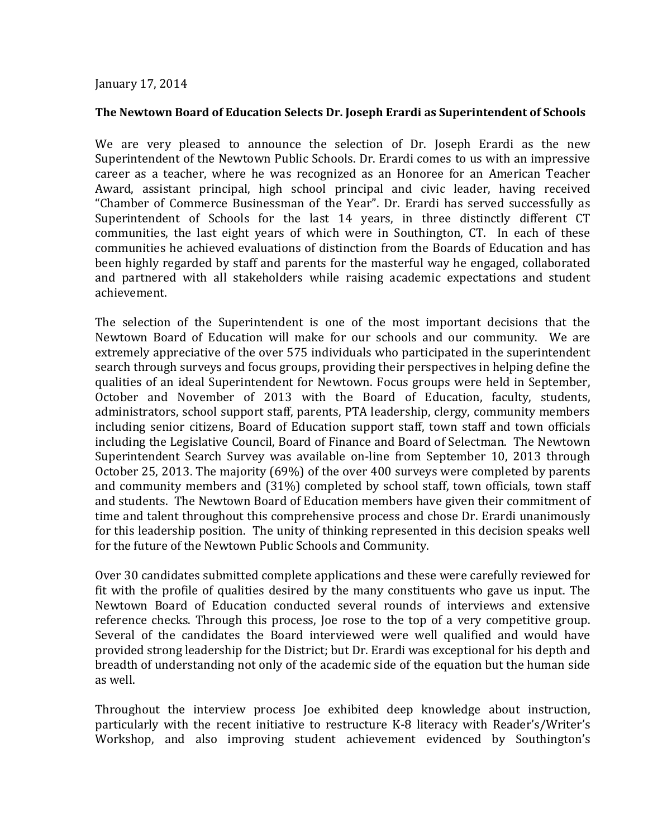January 17, 2014

## **The Newtown Board of Education Selects Dr. Joseph Erardi as Superintendent of Schools**

We are very pleased to announce the selection of Dr. Joseph Erardi as the new Superintendent of the Newtown Public Schools. Dr. Erardi comes to us with an impressive career as a teacher, where he was recognized as an Honoree for an American Teacher Award, assistant principal, high school principal and civic leader, having received "Chamber of Commerce Businessman of the Year". Dr. Erardi has served successfully as Superintendent of Schools for the last 14 years, in three distinctly different CT communities, the last eight years of which were in Southington, CT. In each of these communities he achieved evaluations of distinction from the Boards of Education and has been highly regarded by staff and parents for the masterful way he engaged, collaborated and partnered with all stakeholders while raising academic expectations and student achievement.

The selection of the Superintendent is one of the most important decisions that the Newtown Board of Education will make for our schools and our community. We are extremely appreciative of the over 575 individuals who participated in the superintendent search through surveys and focus groups, providing their perspectives in helping define the qualities of an ideal Superintendent for Newtown. Focus groups were held in September, October and November of 2013 with the Board of Education, faculty, students, administrators, school support staff, parents, PTA leadership, clergy, community members including senior citizens, Board of Education support staff, town staff and town officials including the Legislative Council, Board of Finance and Board of Selectman. The Newtown Superintendent Search Survey was available on-line from September 10, 2013 through October 25, 2013. The majority (69%) of the over 400 surveys were completed by parents and community members and (31%) completed by school staff, town officials, town staff and students. The Newtown Board of Education members have given their commitment of time and talent throughout this comprehensive process and chose Dr. Erardi unanimously for this leadership position. The unity of thinking represented in this decision speaks well for the future of the Newtown Public Schools and Community.

Over 30 candidates submitted complete applications and these were carefully reviewed for fit with the profile of qualities desired by the many constituents who gave us input. The Newtown Board of Education conducted several rounds of interviews and extensive reference checks. Through this process, Joe rose to the top of a very competitive group. Several of the candidates the Board interviewed were well qualified and would have provided strong leadership for the District; but Dr. Erardi was exceptional for his depth and breadth of understanding not only of the academic side of the equation but the human side as well.

Throughout the interview process Joe exhibited deep knowledge about instruction, particularly with the recent initiative to restructure K-8 literacy with Reader's/Writer's Workshop, and also improving student achievement evidenced by Southington's